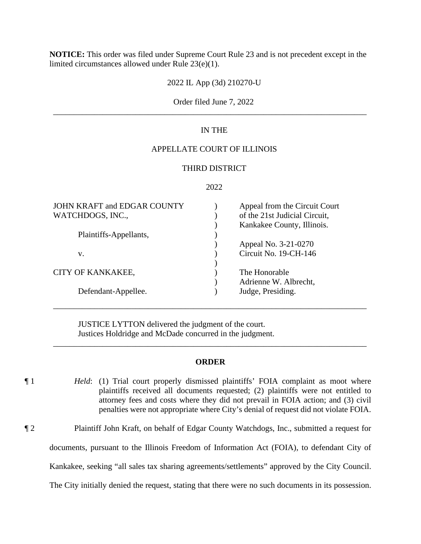**NOTICE:** This order was filed under Supreme Court Rule 23 and is not precedent except in the limited circumstances allowed under Rule 23(e)(1).

2022 IL App (3d) 210270-U

# Order filed June 7, 2022 \_\_\_\_\_\_\_\_\_\_\_\_\_\_\_\_\_\_\_\_\_\_\_\_\_\_\_\_\_\_\_\_\_\_\_\_\_\_\_\_\_\_\_\_\_\_\_\_\_\_\_\_\_\_\_\_\_\_\_\_\_\_\_\_\_\_\_\_\_\_\_\_\_\_\_\_

# IN THE

# APPELLATE COURT OF ILLINOIS

# THIRD DISTRICT

## 2022

| JOHN KRAFT and EDGAR COUNTY<br>WATCHDOGS, INC., | Appeal from the Circuit Court<br>of the 21st Judicial Circuit,<br>Kankakee County, Illinois. |
|-------------------------------------------------|----------------------------------------------------------------------------------------------|
| Plaintiffs-Appellants,                          |                                                                                              |
|                                                 | Appeal No. 3-21-0270                                                                         |
| V.                                              | Circuit No. 19-CH-146                                                                        |
|                                                 |                                                                                              |
| CITY OF KANKAKEE,                               | The Honorable                                                                                |
|                                                 | Adrienne W. Albrecht,                                                                        |
| Defendant-Appellee.                             | Judge, Presiding.                                                                            |
|                                                 |                                                                                              |

JUSTICE LYTTON delivered the judgment of the court. Justices Holdridge and McDade concurred in the judgment.

### **ORDER**

\_\_\_\_\_\_\_\_\_\_\_\_\_\_\_\_\_\_\_\_\_\_\_\_\_\_\_\_\_\_\_\_\_\_\_\_\_\_\_\_\_\_\_\_\_\_\_\_\_\_\_\_\_\_\_\_\_\_\_\_\_\_\_\_\_\_\_\_\_\_\_\_\_\_\_\_

\_\_\_\_\_\_\_\_\_\_\_\_\_\_\_\_\_\_\_\_\_\_\_\_\_\_\_\_\_\_\_\_\_\_\_\_\_\_\_\_\_\_\_\_\_\_\_\_\_\_\_\_\_\_\_\_\_\_\_\_\_\_\_\_\_\_\_\_\_\_\_\_\_\_\_\_

- ¶ 1 *Held*: (1) Trial court properly dismissed plaintiffs' FOIA complaint as moot where plaintiffs received all documents requested; (2) plaintiffs were not entitled to attorney fees and costs where they did not prevail in FOIA action; and (3) civil penalties were not appropriate where City's denial of request did not violate FOIA.
- ¶ 2 Plaintiff John Kraft, on behalf of Edgar County Watchdogs, Inc., submitted a request for

documents, pursuant to the Illinois Freedom of Information Act (FOIA), to defendant City of

Kankakee, seeking "all sales tax sharing agreements/settlements" approved by the City Council.

The City initially denied the request, stating that there were no such documents in its possession.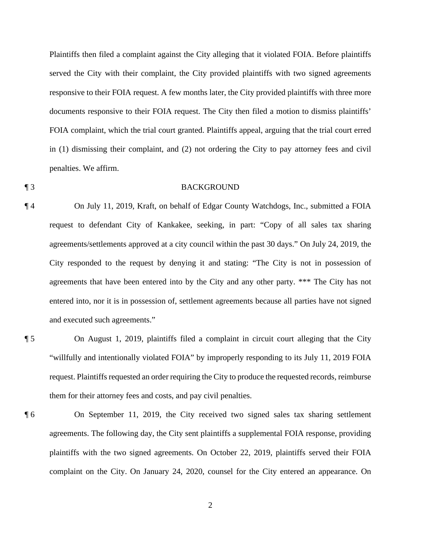Plaintiffs then filed a complaint against the City alleging that it violated FOIA. Before plaintiffs served the City with their complaint, the City provided plaintiffs with two signed agreements responsive to their FOIA request. A few months later, the City provided plaintiffs with three more documents responsive to their FOIA request. The City then filed a motion to dismiss plaintiffs' FOIA complaint, which the trial court granted. Plaintiffs appeal, arguing that the trial court erred in (1) dismissing their complaint, and (2) not ordering the City to pay attorney fees and civil penalties. We affirm.

### ¶ 3 BACKGROUND

¶ 4 On July 11, 2019, Kraft, on behalf of Edgar County Watchdogs, Inc., submitted a FOIA request to defendant City of Kankakee, seeking, in part: "Copy of all sales tax sharing agreements/settlements approved at a city council within the past 30 days." On July 24, 2019, the City responded to the request by denying it and stating: "The City is not in possession of agreements that have been entered into by the City and any other party. \*\*\* The City has not entered into, nor it is in possession of, settlement agreements because all parties have not signed and executed such agreements."

¶ 5 On August 1, 2019, plaintiffs filed a complaint in circuit court alleging that the City "willfully and intentionally violated FOIA" by improperly responding to its July 11, 2019 FOIA request. Plaintiffs requested an order requiring the City to produce the requested records, reimburse them for their attorney fees and costs, and pay civil penalties.

¶ 6 On September 11, 2019, the City received two signed sales tax sharing settlement agreements. The following day, the City sent plaintiffs a supplemental FOIA response, providing plaintiffs with the two signed agreements. On October 22, 2019, plaintiffs served their FOIA complaint on the City. On January 24, 2020, counsel for the City entered an appearance. On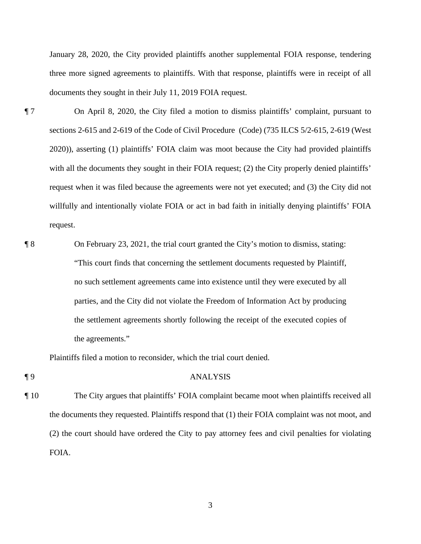January 28, 2020, the City provided plaintiffs another supplemental FOIA response, tendering three more signed agreements to plaintiffs. With that response, plaintiffs were in receipt of all documents they sought in their July 11, 2019 FOIA request.

- ¶ 7 On April 8, 2020, the City filed a motion to dismiss plaintiffs' complaint, pursuant to sections 2-615 and 2-619 of the Code of Civil Procedure (Code) (735 ILCS 5/2-615, 2-619 (West 2020)), asserting (1) plaintiffs' FOIA claim was moot because the City had provided plaintiffs with all the documents they sought in their FOIA request; (2) the City properly denied plaintiffs' request when it was filed because the agreements were not yet executed; and (3) the City did not willfully and intentionally violate FOIA or act in bad faith in initially denying plaintiffs' FOIA request.
- ¶ 8 On February 23, 2021, the trial court granted the City's motion to dismiss, stating: "This court finds that concerning the settlement documents requested by Plaintiff, no such settlement agreements came into existence until they were executed by all parties, and the City did not violate the Freedom of Information Act by producing the settlement agreements shortly following the receipt of the executed copies of the agreements."

Plaintiffs filed a motion to reconsider, which the trial court denied.

### ¶ 9 ANALYSIS

¶ 10 The City argues that plaintiffs' FOIA complaint became moot when plaintiffs received all the documents they requested. Plaintiffs respond that (1) their FOIA complaint was not moot, and (2) the court should have ordered the City to pay attorney fees and civil penalties for violating FOIA.

3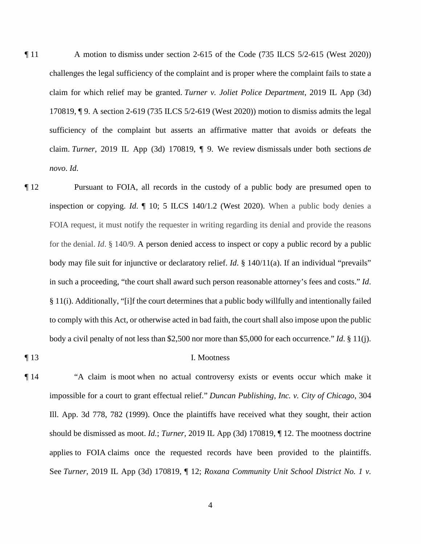- ¶ 11 A motion to dismiss under section 2-615 of the Code (735 ILCS 5/2-615 (West 2020)) challenges the legal sufficiency of the complaint and is proper where the complaint fails to state a claim for which relief may be granted. *Turner v. Joliet Police Department*, 2019 IL App (3d) 170819, ¶ 9. A section 2-619 (735 ILCS 5/2-619 (West 2020)) motion to dismiss admits the legal sufficiency of the complaint but asserts an affirmative matter that avoids or defeats the claim. *Turner*, 2019 IL App (3d) 170819, ¶ 9. We review dismissals under both sections *de novo*. *Id*.
- ¶ 12 Pursuant to FOIA, all records in the custody of a public body are presumed open to inspection or copying. *Id*. ¶ 10; 5 ILCS 140/1.2 (West 2020). When a public body denies a FOIA request, it must notify the requester in writing regarding its denial and provide the reasons for the denial. *Id*. § 140/9. A person denied access to inspect or copy a public record by a public body may file suit for injunctive or declaratory relief. *Id*. § 140/11(a). If an individual "prevails" in such a proceeding, "the court shall award such person reasonable attorney's fees and costs." *Id*. § 11(i). Additionally, "[i]f the court determines that a public body willfully and intentionally failed to comply with this Act, or otherwise acted in bad faith, the court shall also impose upon the public body a civil penalty of not less than \$2,500 nor more than \$5,000 for each occurrence." *Id*. § 11(j).
- 

#### ¶ 13 I. Mootness

¶ 14 "A claim is moot when no actual controversy exists or events occur which make it impossible for a court to grant effectual relief." *Duncan Publishing, Inc. v. City of Chicago*, 304 Ill. App. 3d 778, 782 (1999). Once the plaintiffs have received what they sought, their action should be dismissed as moot. *Id.*; *Turner,* 2019 IL App (3d) 170819, ¶ 12. The mootness doctrine applies to FOIA claims once the requested records have been provided to the plaintiffs. See *Turner,* 2019 IL App (3d) 170819, ¶ 12; *Roxana Community Unit School District No. 1 v.*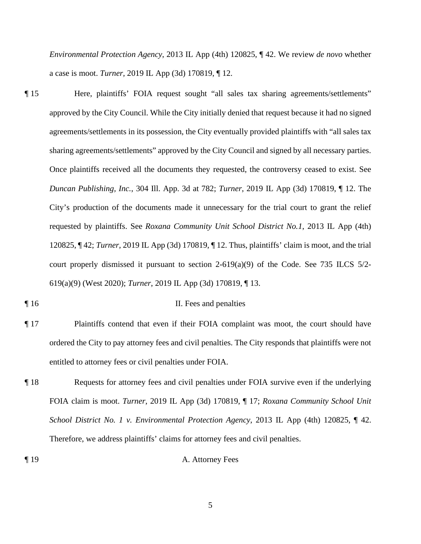*Environmental Protection Agency*, 2013 IL App (4th) 120825, ¶ 42. We review *de novo* whether a case is moot. *Turner,* 2019 IL App (3d) 170819, ¶ 12.

¶ 15 Here, plaintiffs' FOIA request sought "all sales tax sharing agreements/settlements" approved by the City Council. While the City initially denied that request because it had no signed agreements/settlements in its possession, the City eventually provided plaintiffs with "all sales tax sharing agreements/settlements" approved by the City Council and signed by all necessary parties. Once plaintiffs received all the documents they requested, the controversy ceased to exist. See *Duncan Publishing, Inc.*, 304 Ill. App. 3d at 782; *Turner*, 2019 IL App (3d) 170819, ¶ 12. The City's production of the documents made it unnecessary for the trial court to grant the relief requested by plaintiffs. See *Roxana Community Unit School District No.1*, 2013 IL App (4th) 120825, ¶ 42; *Turner,* 2019 IL App (3d) 170819, ¶ 12. Thus, plaintiffs' claim is moot, and the trial court properly dismissed it pursuant to section 2-619(a)(9) of the Code. See 735 ILCS 5/2- 619(a)(9) (West 2020); *Turner*, 2019 IL App (3d) 170819, ¶ 13.

#### ¶ 16 II. Fees and penalties

- ¶ 17 Plaintiffs contend that even if their FOIA complaint was moot, the court should have ordered the City to pay attorney fees and civil penalties. The City responds that plaintiffs were not entitled to attorney fees or civil penalties under FOIA.
- ¶ 18 Requests for attorney fees and civil penalties under FOIA survive even if the underlying FOIA claim is moot. *Turner*, 2019 IL App (3d) 170819, ¶ 17; *Roxana Community School Unit School District No. 1 v. Environmental Protection Agency*, 2013 IL App (4th) 120825, ¶ 42. Therefore, we address plaintiffs' claims for attorney fees and civil penalties.
- ¶ 19 A. Attorney Fees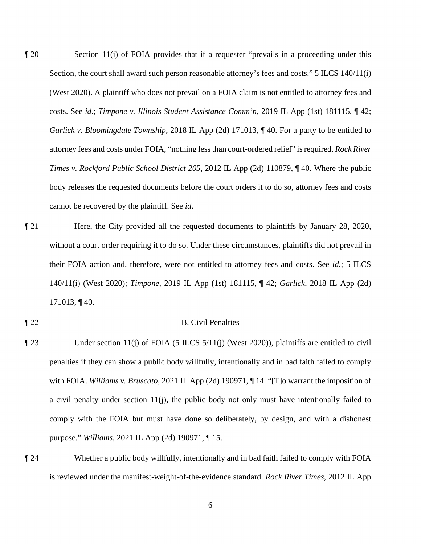¶ 20 Section 11(i) of FOIA provides that if a requester "prevails in a proceeding under this Section, the court shall award such person reasonable attorney's fees and costs." 5 ILCS 140/11(i) (West 2020). A plaintiff who does not prevail on a FOIA claim is not entitled to attorney fees and costs. See *id*.; *Timpone v. Illinois Student Assistance Comm'n*, 2019 IL App (1st) 181115, ¶ 42; *Garlick v. Bloomingdale Township*, 2018 IL App (2d) 171013,  $\P$  40. For a party to be entitled to attorney fees and costs under FOIA, "nothing less than court-ordered relief" is required. *Rock River Times v. Rockford Public School District 205*, 2012 IL App (2d) 110879, ¶ 40. Where the public body releases the requested documents before the court orders it to do so, attorney fees and costs cannot be recovered by the plaintiff. See *id*.

¶ 21 Here, the City provided all the requested documents to plaintiffs by January 28, 2020, without a court order requiring it to do so. Under these circumstances, plaintiffs did not prevail in their FOIA action and, therefore, were not entitled to attorney fees and costs. See *id.*; 5 ILCS 140/11(i) (West 2020); *Timpone*, 2019 IL App (1st) 181115, ¶ 42; *Garlick*, 2018 IL App (2d) 171013, ¶ 40.

## ¶ 22 B. Civil Penalties

- ¶ 23 Under section 11(j) of FOIA (5 ILCS 5/11(j) (West 2020)), plaintiffs are entitled to civil penalties if they can show a public body willfully, intentionally and in bad faith failed to comply with FOIA. *Williams v. Bruscato*, 2021 IL App (2d) 190971, ¶ 14. "[T]o warrant the imposition of a civil penalty under section 11(j), the public body not only must have intentionally failed to comply with the FOIA but must have done so deliberately, by design, and with a dishonest purpose." *Williams*, 2021 IL App (2d) 190971, ¶ 15.
- ¶ 24 Whether a public body willfully, intentionally and in bad faith failed to comply with FOIA is reviewed under the manifest-weight-of-the-evidence standard. *Rock River Times*, 2012 IL App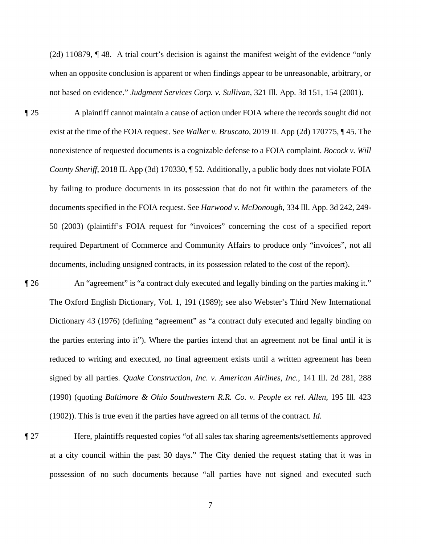(2d) 110879, ¶ 48. A trial court's decision is against the manifest weight of the evidence "only when an opposite conclusion is apparent or when findings appear to be unreasonable, arbitrary, or not based on evidence." *Judgment Services Corp. v. Sullivan*, 321 Ill. App. 3d 151, 154 (2001).

¶ 25 A plaintiff cannot maintain a cause of action under FOIA where the records sought did not exist at the time of the FOIA request. See *Walker v. Bruscato*, 2019 IL App (2d) 170775, ¶ 45. The nonexistence of requested documents is a cognizable defense to a FOIA complaint. *Bocock v. Will County Sheriff*, 2018 IL App (3d) 170330, ¶ 52. Additionally, a public body does not violate FOIA by failing to produce documents in its possession that do not fit within the parameters of the documents specified in the FOIA request. See *Harwood v. McDonough*, 334 Ill. App. 3d 242, 249- 50 (2003) (plaintiff's FOIA request for "invoices" concerning the cost of a specified report required Department of Commerce and Community Affairs to produce only "invoices", not all documents, including unsigned contracts, in its possession related to the cost of the report).

¶ 26 An "agreement" is "a contract duly executed and legally binding on the parties making it." The Oxford English Dictionary, Vol. 1, 191 (1989); see also Webster's Third New International Dictionary 43 (1976) (defining "agreement" as "a contract duly executed and legally binding on the parties entering into it"). Where the parties intend that an agreement not be final until it is reduced to writing and executed, no final agreement exists until a written agreement has been signed by all parties. *Quake Construction, Inc. v. American Airlines, Inc.*, 141 Ill. 2d 281, 288 (1990) (quoting *Baltimore & Ohio Southwestern R.R. Co. v. People ex rel. Allen*, 195 Ill. 423 (1902)). This is true even if the parties have agreed on all terms of the contract. *Id*.

¶ 27 Here, plaintiffs requested copies "of all sales tax sharing agreements/settlements approved at a city council within the past 30 days." The City denied the request stating that it was in possession of no such documents because "all parties have not signed and executed such

7